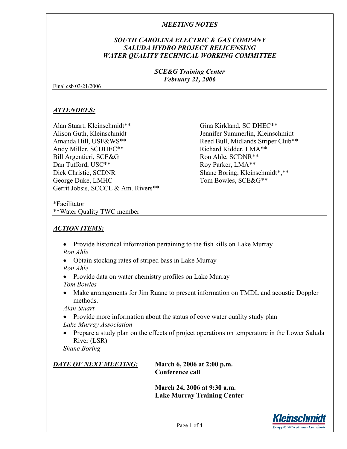### *SOUTH CAROLINA ELECTRIC & GAS COMPANY SALUDA HYDRO PROJECT RELICENSING WATER QUALITY TECHNICAL WORKING COMMITTEE*

### *SCE&G Training Center February 21, 2006*

Final csb 03/21/2006

### *ATTENDEES:*

Alan Stuart, Kleinschmidt\*\* Alison Guth, Kleinschmidt Amanda Hill, USF&WS\*\* Andy Miller, SCDHEC\*\* Bill Argentieri, SCE&G Dan Tufford, USC\*\* Dick Christie, SCDNR George Duke, LMHC Gerrit Jobsis, SCCCL & Am. Rivers\*\* Gina Kirkland, SC DHEC\*\* Jennifer Summerlin, Kleinschmidt Reed Bull, Midlands Striper Club\*\* Richard Kidder, LMA\*\* Ron Ahle, SCDNR\*\* Roy Parker, LMA\*\* Shane Boring, Kleinschmidt\*,\*\* Tom Bowles, SCE&G\*\*

\*Facilitator \*\*Water Quality TWC member

# *ACTION ITEMS:*

- Provide historical information pertaining to the fish kills on Lake Murray *Ron Ahle*
- Obtain stocking rates of striped bass in Lake Murray *Ron Ahle*
- Provide data on water chemistry profiles on Lake Murray *Tom Bowles*
- Make arrangements for Jim Ruane to present information on TMDL and acoustic Doppler methods.

*Alan Stuart* 

- Provide more information about the status of cove water quality study plan *Lake Murray Association*
- Prepare a study plan on the effects of project operations on temperature in the Lower Saluda River (LSR)

*Shane Boring*

*DATE OF NEXT MEETING:* **March 6, 2006 at 2:00 p.m.** 

 **Conference call** 

**March 24, 2006 at 9:30 a.m. Lake Murray Training Center** 

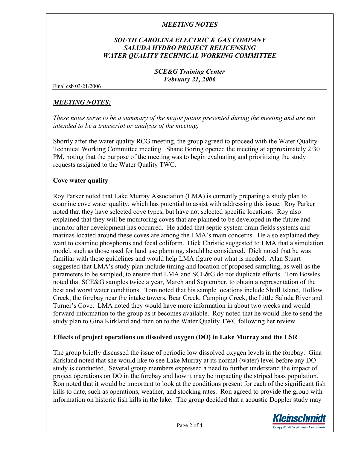## *SOUTH CAROLINA ELECTRIC & GAS COMPANY SALUDA HYDRO PROJECT RELICENSING WATER QUALITY TECHNICAL WORKING COMMITTEE*

### *SCE&G Training Center February 21, 2006*

Final csb 03/21/2006

### *MEETING NOTES:*

*These notes serve to be a summary of the major points presented during the meeting and are not intended to be a transcript or analysis of the meeting.* 

Shortly after the water quality RCG meeting, the group agreed to proceed with the Water Quality Technical Working Committee meeting.Shane Boring opened the meeting at approximately 2:30 PM, noting that the purpose of the meeting was to begin evaluating and prioritizing the study requests assigned to the Water Quality TWC.

#### **Cove water quality**

Roy Parker noted that Lake Murray Association (LMA) is currently preparing a study plan to examine cove water quality, which has potential to assist with addressing this issue. Roy Parker noted that they have selected cove types, but have not selected specific locations. Roy also explained that they will be monitoring coves that are planned to be developed in the future and monitor after development has occurred. He added that septic system drain fields systems and marinas located around these coves are among the LMA's main concerns. He also explained they want to examine phosphorus and fecal coliform. Dick Christie suggested to LMA that a simulation model, such as those used for land use planning, should be considered. Dick noted that he was familiar with these guidelines and would help LMA figure out what is needed. Alan Stuart suggested that LMA's study plan include timing and location of proposed sampling, as well as the parameters to be sampled, to ensure that LMA and SCE&G do not duplicate efforts. Tom Bowles noted that SCE&G samples twice a year, March and September, to obtain a representation of the best and worst water conditions. Tom noted that his sample locations include Shull Island, Hollow Creek, the forebay near the intake towers, Bear Creek, Camping Creek, the Little Saluda River and Turner's Cove. LMA noted they would have more information in about two weeks and would forward information to the group as it becomes available. Roy noted that he would like to send the study plan to Gina Kirkland and then on to the Water Quality TWC following her review.

#### **Effects of project operations on dissolved oxygen (DO) in Lake Murray and the LSR**

The group briefly discussed the issue of periodic low dissolved oxygen levels in the forebay. Gina Kirkland noted that she would like to see Lake Murray at its normal (water) level before any DO study is conducted. Several group members expressed a need to further understand the impact of project operations on DO in the forebay and how it may be impacting the striped bass population. Ron noted that it would be important to look at the conditions present for each of the significant fish kills to date, such as operations, weather, and stocking rates. Ron agreed to provide the group with information on historic fish kills in the lake. The group decided that a acoustic Doppler study may

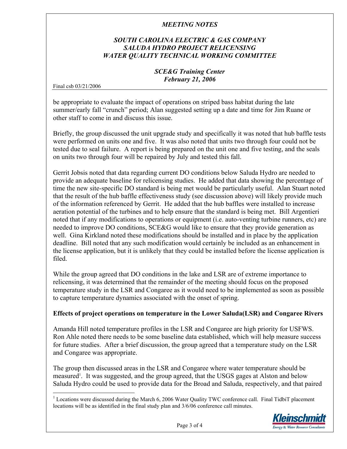## *SOUTH CAROLINA ELECTRIC & GAS COMPANY SALUDA HYDRO PROJECT RELICENSING WATER QUALITY TECHNICAL WORKING COMMITTEE*

### *SCE&G Training Center February 21, 2006*

Final csb 03/21/2006

 $\overline{a}$ 

be appropriate to evaluate the impact of operations on striped bass habitat during the late summer/early fall "crunch" period; Alan suggested setting up a date and time for Jim Ruane or other staff to come in and discuss this issue.

Briefly, the group discussed the unit upgrade study and specifically it was noted that hub baffle tests were performed on units one and five. It was also noted that units two through four could not be tested due to seal failure. A report is being prepared on the unit one and five testing, and the seals on units two through four will be repaired by July and tested this fall.

Gerrit Jobsis noted that data regarding current DO conditions below Saluda Hydro are needed to provide an adequate baseline for relicensing studies. He added that data showing the percentage of time the new site-specific DO standard is being met would be particularly useful. Alan Stuart noted that the result of the hub baffle effectiveness study (see discussion above) will likely provide much of the information referenced by Gerrit. He added that the hub baffles were installed to increase aeration potential of the turbines and to help ensure that the standard is being met. Bill Argentieri noted that if any modifications to operations or equipment (i.e. auto-venting turbine runners, etc) are needed to improve DO conditions, SCE&G would like to ensure that they provide generation as well. Gina Kirkland noted these modifications should be installed and in place by the application deadline. Bill noted that any such modification would certainly be included as an enhancement in the license application, but it is unlikely that they could be installed before the license application is filed.

While the group agreed that DO conditions in the lake and LSR are of extreme importance to relicensing, it was determined that the remainder of the meeting should focus on the proposed temperature study in the LSR and Congaree as it would need to be implemented as soon as possible to capture temperature dynamics associated with the onset of spring.

#### **Effects of project operations on temperature in the Lower Saluda(LSR) and Congaree Rivers**

Amanda Hill noted temperature profiles in the LSR and Congaree are high priority for USFWS. Ron Ahle noted there needs to be some baseline data established, which will help measure success for future studies. After a brief discussion, the group agreed that a temperature study on the LSR and Congaree was appropriate.

The group then discussed areas in the LSR and Congaree where water temperature should be measured<sup>[1](#page-2-0)</sup>. It was suggested, and the group agreed, that the USGS gages at Alston and below Saluda Hydro could be used to provide data for the Broad and Saluda, respectively, and that paired

<span id="page-2-0"></span> $1$  Locations were discussed during the March 6, 2006 Water Quality TWC conference call. Final TidbiT placement locations will be as identified in the final study plan and 3/6/06 conference call minutes.